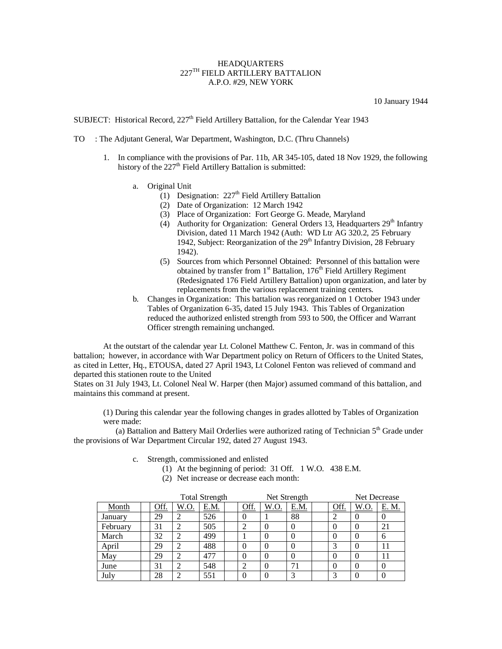## **HEADQUARTERS** 227TH FIELD ARTILLERY BATTALION A.P.O. #29, NEW YORK

10 January 1944

SUBJECT: Historical Record, 227<sup>th</sup> Field Artillery Battalion, for the Calendar Year 1943

- TO : The Adjutant General, War Department, Washington, D.C. (Thru Channels)
	- 1. In compliance with the provisions of Par. 11b, AR 345-105, dated 18 Nov 1929, the following history of the  $227<sup>th</sup>$  Field Artillery Battalion is submitted:
		- a. Original Unit
			- (1) Designation:  $227<sup>th</sup>$  Field Artillery Battalion
			- (2) Date of Organization: 12 March 1942
			- (3) Place of Organization: Fort George G. Meade, Maryland
			- (4) Authority for Organization: General Orders 13, Headquarters  $29<sup>th</sup>$  Infantry Division, dated 11 March 1942 (Auth: WD Ltr AG 320.2, 25 February 1942, Subject: Reorganization of the 29<sup>th</sup> Infantry Division, 28 February 1942).
			- (5) Sources from which Personnel Obtained: Personnel of this battalion were obtained by transfer from  $1<sup>st</sup>$  Battalion,  $176<sup>th</sup>$  Field Artillery Regiment (Redesignated 176 Field Artillery Battalion) upon organization, and later by replacements from the various replacement training centers.
		- b. Changes in Organization: This battalion was reorganized on 1 October 1943 under Tables of Organization 6-35, dated 15 July 1943. This Tables of Organization reduced the authorized enlisted strength from 593 to 500, the Officer and Warrant Officer strength remaining unchanged.

At the outstart of the calendar year Lt. Colonel Matthew C. Fenton, Jr. was in command of this battalion; however, in accordance with War Department policy on Return of Officers to the United States, as cited in Letter, Hq., ETOUSA, dated 27 April 1943, Lt Colonel Fenton was relieved of command and departed this stationen route to the United

States on 31 July 1943, Lt. Colonel Neal W. Harper (then Major) assumed command of this battalion, and maintains this command at present.

(1) During this calendar year the following changes in grades allotted by Tables of Organization were made:

(a) Battalion and Battery Mail Orderlies were authorized rating of Technician  $5<sup>th</sup>$  Grade under the provisions of War Department Circular 192, dated 27 August 1943.

c. Strength, commissioned and enlisted

- (1) At the beginning of period: 31 Off. 1 W.O. 438 E.M.
	- (2) Net increase or decrease each month:

|  |          |      |      | <b>Total Strength</b> |      |      | Net Strength | Net Decrease |             |      |          |
|--|----------|------|------|-----------------------|------|------|--------------|--------------|-------------|------|----------|
|  | Month    | Off. | W.O. | E.M.                  | Off. | W.O. | E.M.         |              | <u>Off.</u> | W.O. | E. M.    |
|  | January  | 29   |      | 526                   |      |      | 88           |              |             |      | v        |
|  | February | 31   |      | 505                   |      |      |              |              |             |      | 21       |
|  | March    | 32   |      | 499                   |      |      |              |              |             |      | 6        |
|  | April    | 29   |      | 488                   |      |      |              |              |             |      | 11       |
|  | May      | 29   | ∠    | 477                   |      |      |              |              |             |      | 11       |
|  | June     | 31   | ∠    | 548                   | ↑    |      | 71           |              |             |      | $\Omega$ |
|  | July     | 28   |      | 551                   |      |      |              |              |             |      |          |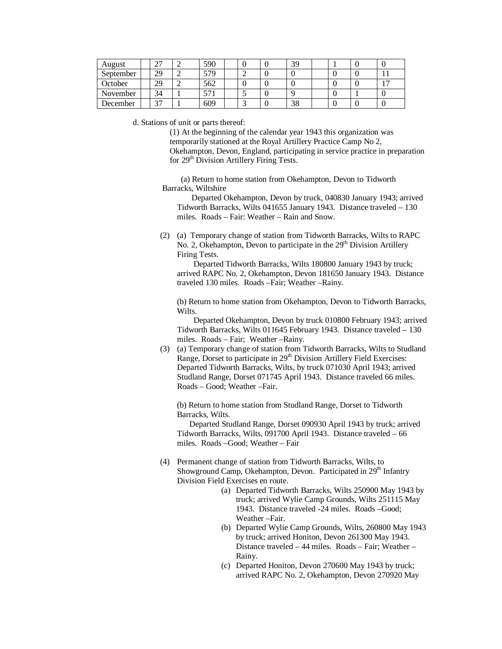| August    | ، ت | 590 |  | 39 |  |  |
|-----------|-----|-----|--|----|--|--|
| September | 29  | 579 |  |    |  |  |
| October   | 29  | 562 |  |    |  |  |
| November  | 34  |     |  |    |  |  |
| December  |     | 609 |  | 38 |  |  |

d. Stations of unit or parts thereof:

(1) At the beginning of the calendar year 1943 this organization was temporarily stationed at the Royal Artillery Practice Camp No 2, Okehampton, Devon, England, participating in service practice in preparation for 29<sup>th</sup> Division Artillery Firing Tests.

 (a) Return to home station from Okehampton, Devon to Tidworth Barracks, Wiltshire

 Departed Okehampton, Devon by truck, 040830 January 1943; arrived Tidworth Barracks, Wilts 041655 January 1943. Distance traveled – 130 miles. Roads – Fair: Weather – Rain and Snow.

(2) (a) Temporary change of station from Tidworth Barracks, Wilts to RAPC No. 2, Okehampton, Devon to participate in the  $29<sup>th</sup>$  Division Artillery Firing Tests.

 Departed Tidworth Barracks, Wilts 180800 January 1943 by truck; arrived RAPC No. 2, Okehampton, Devon 181650 January 1943. Distance traveled 130 miles. Roads –Fair; Weather –Rainy.

(b) Return to home station from Okehampton, Devon to Tidworth Barracks, Wilts.

 Departed Okehampton, Devon by truck 010800 February 1943; arrived Tidworth Barracks, Wilts 011645 February 1943. Distance traveled – 130 miles. Roads – Fair; Weather –Rainy.

(3) (a) Temporary change of station from Tidworth Barracks, Wilts to Studland Range, Dorset to participate in 29<sup>th</sup> Division Artillery Field Exercises: Departed Tidworth Barracks, Wilts, by truck 071030 April 1943; arrived Studland Range, Dorset 071745 April 1943. Distance traveled 66 miles. Roads – Good; Weather –Fair.

(b) Return to home station from Studland Range, Dorset to Tidworth Barracks, Wilts.

 Departed Studland Range, Dorset 090930 April 1943 by truck; arrived Tidworth Barracks, Wilts, 091700 April 1943. Distance traveled – 66 miles. Roads –Good; Weather – Fair

- (4) Permanent change of station from Tidworth Barracks, Wilts, to Showground Camp, Okehampton, Devon. Participated in  $29<sup>th</sup>$  Infantry Division Field Exercises en route.
	- (a) Departed Tidworth Barracks, Wilts 250900 May 1943 by truck; arrived Wylie Camp Grounds, Wilts 251115 May 1943. Distance traveled -24 miles. Roads –Good; Weather –Fair.
	- (b) Departed Wylie Camp Grounds, Wilts, 260800 May 1943 by truck; arrived Honiton, Devon 261300 May 1943. Distance traveled – 44 miles. Roads – Fair; Weather – Rainy.
	- (c) Departed Honiton, Devon 270600 May 1943 by truck; arrived RAPC No. 2, Okehampton, Devon 270920 May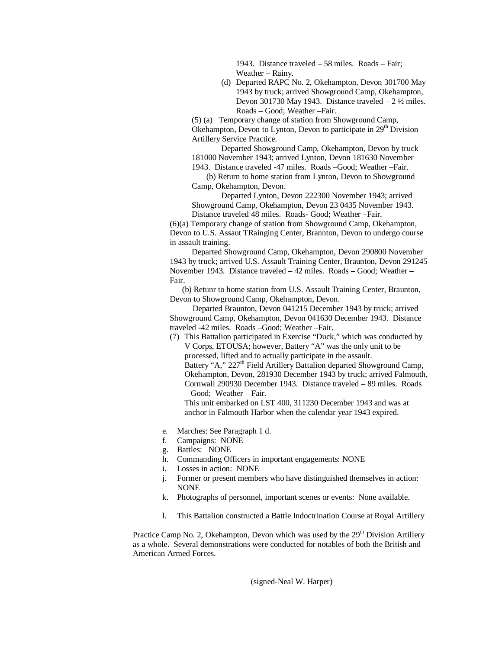1943. Distance traveled – 58 miles. Roads – Fair; Weather – Rainy.

(d) Departed RAPC No. 2, Okehampton, Devon 301700 May 1943 by truck; arrived Showground Camp, Okehampton, Devon 301730 May 1943. Distance traveled  $-2\frac{1}{2}$  miles. Roads – Good; Weather –Fair.

(5) (a) Temporary change of station from Showground Camp, Okehampton, Devon to Lynton, Devon to participate in 29<sup>th</sup> Division Artillery Service Practice.

Departed Showground Camp, Okehampton, Devon by truck 181000 November 1943; arrived Lynton, Devon 181630 November

1943. Distance traveled -47 miles. Roads –Good; Weather –Fair.

 (b) Return to home station from Lynton, Devon to Showground Camp, Okehampton, Devon.

Departed Lynton, Devon 222300 November 1943; arrived Showground Camp, Okehampton, Devon 23 0435 November 1943. Distance traveled 48 miles. Roads- Good; Weather –Fair.

(6)(a) Temporary change of station from Showground Camp, Okehampton, Devon to U.S. Assaut TRainging Center, Brannton, Devon to undergo course in assault training.

 Departed Showground Camp, Okehampton, Devon 290800 November 1943 by truck; arrived U.S. Assault Training Center, Braunton, Devon 291245 November 1943. Distance traveled – 42 miles. Roads – Good; Weather – Fair.

 (b) Retunr to home station from U.S. Assault Training Center, Braunton, Devon to Showground Camp, Okehampton, Devon.

 Departed Braunton, Devon 041215 December 1943 by truck; arrived Showground Camp, Okehampton, Devon 041630 December 1943. Distance traveled -42 miles. Roads –Good; Weather –Fair.

(7) This Battalion participated in Exercise "Duck," which was conducted by V Corps, ETOUSA; however, Battery "A" was the only unit to be processed, lifted and to actually participate in the assault. Battery "A," 227<sup>th</sup> Field Artillery Battalion departed Showground Camp, Okehampton, Devon, 281930 December 1943 by truck; arrived Falmouth, Cornwall 290930 December 1943. Distance traveled – 89 miles. Roads – Good; Weather – Fair. This unit embarked on LST 400, 311230 December 1943 and was at

anchor in Falmouth Harbor when the calendar year 1943 expired.

- e. Marches: See Paragraph 1 d.
- Campaigns: NONE
- g. Battles: NONE
- h. Commanding Officers in important engagements: NONE
- i. Losses in action: NONE
- j. Former or present members who have distinguished themselves in action: NONE
- k. Photographs of personnel, important scenes or events: None available.
- l. This Battalion constructed a Battle Indoctrination Course at Royal Artillery

Practice Camp No. 2, Okehampton, Devon which was used by the 29<sup>th</sup> Division Artillery as a whole. Several demonstrations were conducted for notables of both the British and American Armed Forces.